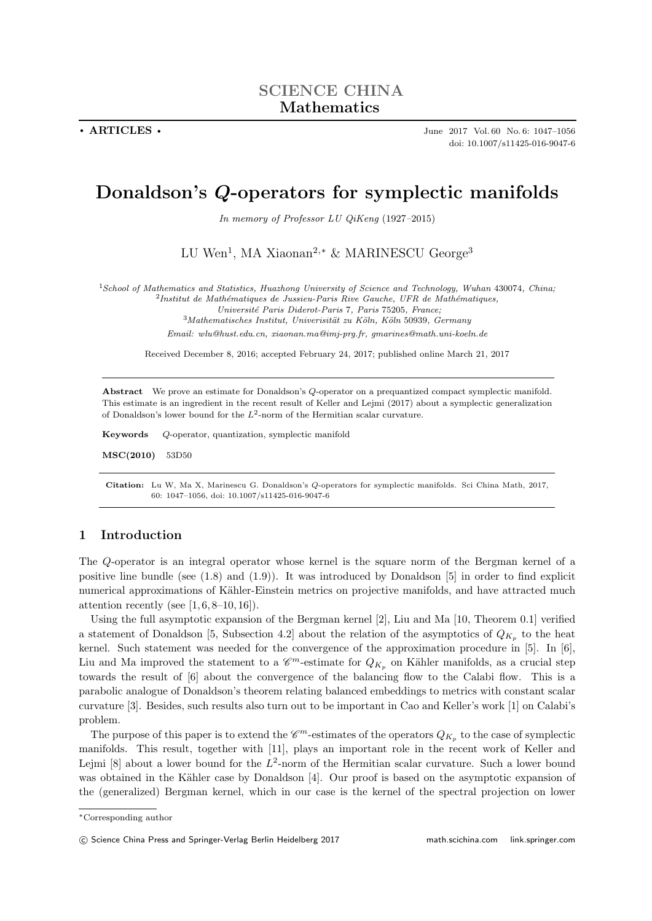**. ARTICLES .** June 2017 Vol. 60 No. 6: 1047–1056 doi: 10.1007/s11425-016-9047-6

# **Donaldson's** *Q***-operators for symplectic manifolds**

*In memory of Professor LU QiKeng* (1927*–*2015)

LU Wen<sup>1</sup>, MA Xiaonan<sup>2,∗</sup> & MARINESCU George<sup>3</sup>

<sup>1</sup>*School of Mathematics and Statistics, Huazhong University of Science and Technology, Wuhan* 430074*, China;* <sup>2</sup>Institut de Mathématiques de Jussieu-Paris Rive Gauche, UFR de Mathématiques,

*Universit´e Paris Diderot-Paris* 7*, Paris* 75205*, France;*

<sup>3</sup>*Mathematisches Institut, Univerisit¨at zu K¨oln, K¨oln* 50939*, Germany*

*Email: wlu@hust.edu.cn, xiaonan.ma@imj-prg.fr, gmarines@math.uni-koeln.de*

Received December 8, 2016; accepted February 24, 2017; published online March 21, 2017

**Abstract** We prove an estimate for Donaldson's *Q*-operator on a prequantized compact symplectic manifold. This estimate is an ingredient in the recent result of Keller and Lejmi (2017) about a symplectic generalization of Donaldson's lower bound for the *L*<sup>2</sup> -norm of the Hermitian scalar curvature.

**Keywords** *Q*-operator, quantization, symplectic manifold

**MSC(2010)** 53D50

**Citation:** Lu W, Ma X, Marinescu G. Donaldson's *Q*-operators for symplectic manifolds. Sci China Math, 2017, 60: 1047–1056, doi: 10.1007/s11425-016-9047-6

# **1 Introduction**

The *Q*-operator is an integral operator whose kernel is the square norm of the Bergman kernel of a positive line bundle (see (1.8) and (1.9)). It was introduced by Donaldson [5] in order to find explicit numerical approximations of Kähler-Einstein metrics on projective manifolds, and have attracted much attention recently (see  $[1, 6, 8-10, 16]$ ).

Using the full asymptotic expansion of the Bergman kernel [2], Liu and Ma [10, Theorem 0.1] verified a statement of Donaldson [5, Subsection 4.2] about the relation of the asymptotics of  $Q_{K_p}$  to the heat kernel. Such statement was needed for the convergence of the approximation procedure in [5]. In [6], Liu and Ma improved the statement to a  $\mathscr{C}^m$ -estimate for  $Q_{K_p}$  on Kähler manifolds, as a crucial step towards the result of [6] about the convergence of the balancing flow to the Calabi flow. This is a parabolic analogue of Donaldson's theorem relating balanced embeddings to metrics with constant scalar curvature [3]. Besides, such results also turn out to be important in Cao and Keller's work [1] on Calabi's problem.

The purpose of this paper is to extend the  $\mathscr{C}^m$ -estimates of the operators  $Q_{K_p}$  to the case of symplectic manifolds. This result, together with [11], plays an important role in the recent work of Keller and Lejmi [8] about a lower bound for the L<sup>2</sup>-norm of the Hermitian scalar curvature. Such a lower bound was obtained in the Kähler case by Donaldson [4]. Our proof is based on the asymptotic expansion of the (generalized) Bergman kernel, which in our case is the kernel of the spectral projection on lower

*<sup>∗</sup>*Corresponding author

*<sup>⃝</sup>*c Science China Press and Springer-Verlag Berlin Heidelberg 2017 math.scichina.com link.springer.com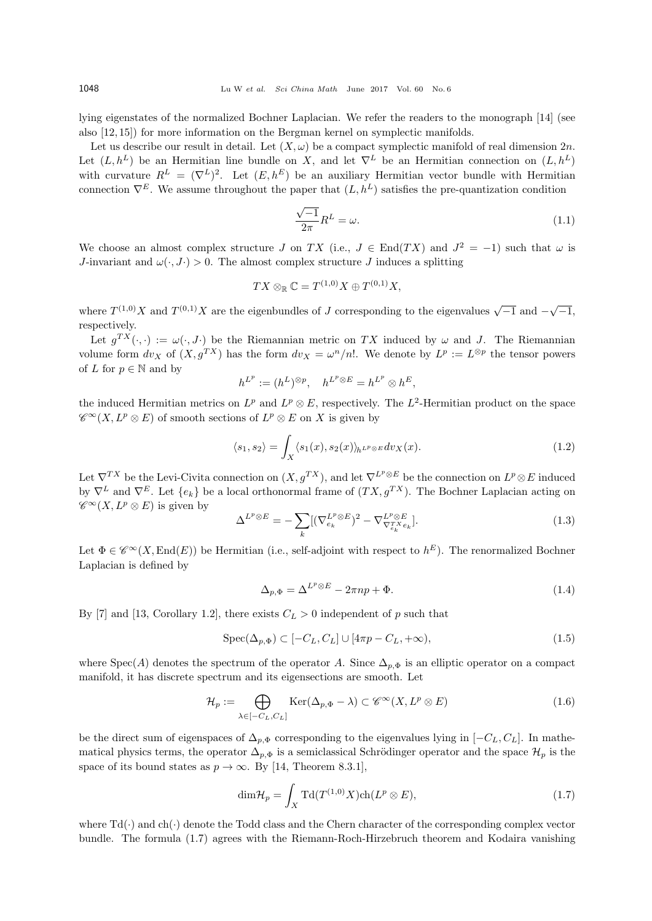lying eigenstates of the normalized Bochner Laplacian. We refer the readers to the monograph [14] (see also [12, 15]) for more information on the Bergman kernel on symplectic manifolds.

Let us describe our result in detail. Let  $(X, \omega)$  be a compact symplectic manifold of real dimension  $2n$ . Let  $(L, h^L)$  be an Hermitian line bundle on *X*, and let  $\nabla^L$  be an Hermitian connection on  $(L, h^L)$ with curvature  $R^L = (\nabla^L)^2$ . Let  $(E, h^E)$  be an auxiliary Hermitian vector bundle with Hermitian connection  $\nabla^E$ . We assume throughout the paper that  $(L, h^L)$  satisfies the pre-quantization condition

$$
\frac{\sqrt{-1}}{2\pi}R^L = \omega.
$$
\n(1.1)

We choose an almost complex structure *J* on *TX* (i.e.,  $J \in End(TX)$  and  $J^2 = -1$ ) such that  $\omega$  is *J*-invariant and  $\omega(\cdot, J \cdot) > 0$ . The almost complex structure *J* induces a splitting

$$
TX \otimes_{\mathbb{R}} \mathbb{C} = T^{(1,0)}X \oplus T^{(0,1)}X,
$$

where  $T^{(1,0)}X$  and  $T^{(0,1)}X$  are the eigenbundles of *J* corresponding to the eigenvalues  $\sqrt{-1}$  and  $-\sqrt{-1}$ , respectively.

Let  $g^{TX}(\cdot, \cdot) := \omega(\cdot, J \cdot)$  be the Riemannian metric on TX induced by  $\omega$  and J. The Riemannian volume form  $dv_X$  of  $(X, g^{TX})$  has the form  $dv_X = \omega^n/n!$ . We denote by  $L^p := L^{\otimes p}$  the tensor powers of *L* for  $p \in \mathbb{N}$  and by

$$
h^{L^p} := (h^L)^{\otimes p}, \quad h^{L^p \otimes E} = h^{L^p} \otimes h^E,
$$

the induced Hermitian metrics on  $L^p$  and  $L^p \otimes E$ , respectively. The  $L^2$ -Hermitian product on the space  $\mathscr{C}^{\infty}(X, L^p \otimes E)$  of smooth sections of  $L^p \otimes E$  on *X* is given by

$$
\langle s_1, s_2 \rangle = \int_X \langle s_1(x), s_2(x) \rangle_h L^p \otimes E \, dv_X(x). \tag{1.2}
$$

Let  $\nabla^{TX}$  be the Levi-Civita connection on  $(X, g^{TX})$ , and let  $\nabla^{L^p \otimes E}$  be the connection on  $L^p \otimes E$  induced by  $\nabla^L$  and  $\nabla^E$ . Let  $\{e_k\}$  be a local orthonormal frame of  $(TX, g^{TX})$ . The Bochner Laplacian acting on  $\mathscr{C}^{\infty}(X, L^p \otimes E)$  is given by

$$
\Delta^{L^p \otimes E} = -\sum_k [(\nabla_{e_k}^{L^p \otimes E})^2 - \nabla_{\nabla_{e_k}^{T^X e_k}}^{L^p \otimes E}]. \tag{1.3}
$$

Let  $\Phi \in \mathscr{C}^{\infty}(X, \text{End}(E))$  be Hermitian (i.e., self-adjoint with respect to  $h^E$ ). The renormalized Bochner Laplacian is defined by

$$
\Delta_{p,\Phi} = \Delta^{L^p \otimes E} - 2\pi np + \Phi. \tag{1.4}
$$

By [7] and [13, Corollary 1.2], there exists  $C_L > 0$  independent of p such that

$$
Spec(\Delta_{p,\Phi}) \subset [-C_L, C_L] \cup [4\pi p - C_L, +\infty), \tag{1.5}
$$

where  $Spec(A)$  denotes the spectrum of the operator *A*. Since  $\Delta_{p,\Phi}$  is an elliptic operator on a compact manifold, it has discrete spectrum and its eigensections are smooth. Let

$$
\mathcal{H}_p := \bigoplus_{\lambda \in [-C_L, C_L]} \text{Ker}(\Delta_{p, \Phi} - \lambda) \subset \mathscr{C}^{\infty}(X, L^p \otimes E) \tag{1.6}
$$

be the direct sum of eigenspaces of  $\Delta_{p,\Phi}$  corresponding to the eigenvalues lying in  $[-C_L, C_L]$ . In mathematical physics terms, the operator  $\Delta_{p,\Phi}$  is a semiclassical Schrödinger operator and the space  $\mathcal{H}_p$  is the space of its bound states as  $p \to \infty$ . By [14, Theorem 8.3.1],

$$
\dim \mathcal{H}_p = \int_X \mathrm{Td}(T^{(1,0)}X) \mathrm{ch}(L^p \otimes E),\tag{1.7}
$$

where  $Td(\cdot)$  and ch( $\cdot$ ) denote the Todd class and the Chern character of the corresponding complex vector bundle. The formula (1.7) agrees with the Riemann-Roch-Hirzebruch theorem and Kodaira vanishing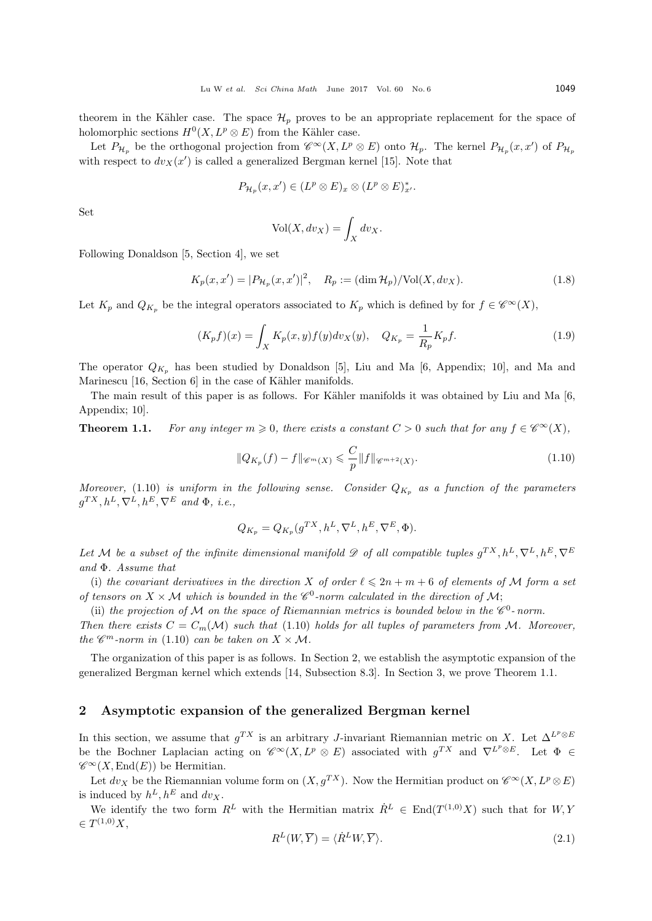theorem in the Kähler case. The space  $\mathcal{H}_p$  proves to be an appropriate replacement for the space of holomorphic sections  $H^0(X, L^p \otimes E)$  from the Kähler case.

Let  $P_{\mathcal{H}_p}$  be the orthogonal projection from  $\mathscr{C}^{\infty}(X, L^p \otimes E)$  onto  $\mathcal{H}_p$ . The kernel  $P_{\mathcal{H}_p}(x, x')$  of  $P_{\mathcal{H}_p}$ with respect to  $dv_X(x')$  is called a generalized Bergman kernel [15]. Note that

$$
P_{\mathcal{H}_p}(x,x') \in (L^p \otimes E)_x \otimes (L^p \otimes E)_{x'}^*.
$$

Set

$$
\text{Vol}(X, dv_X) = \int_X dv_X.
$$

Following Donaldson [5, Section 4], we set

$$
K_p(x, x') = |P_{\mathcal{H}_p}(x, x')|^2, \quad R_p := (\dim \mathcal{H}_p) / \text{Vol}(X, dv_X).
$$
 (1.8)

Let  $K_p$  and  $Q_{K_p}$  be the integral operators associated to  $K_p$  which is defined by for  $f \in \mathscr{C}^{\infty}(X)$ ,

$$
(K_p f)(x) = \int_X K_p(x, y) f(y) dv_X(y), \quad Q_{K_p} = \frac{1}{R_p} K_p f. \tag{1.9}
$$

The operator  $Q_{K_p}$  has been studied by Donaldson [5], Liu and Ma [6, Appendix; 10], and Ma and Marinescu  $[16, Section 6]$  in the case of Kähler manifolds.

The main result of this paper is as follows. For Kähler manifolds it was obtained by Liu and Ma [6, Appendix; 10].

**Theorem 1.1.** *For any integer*  $m \geq 0$ *, there exists a constant*  $C > 0$  *such that for any*  $f \in \mathcal{C}^{\infty}(X)$ *,* 

$$
||Q_{K_p}(f) - f||_{\mathscr{C}^m(X)} \leqslant \frac{C}{p} ||f||_{\mathscr{C}^{m+2}(X)}.
$$
\n(1.10)

*Moreover,* (1.10) *is uniform in the following sense.* Consider  $Q_{K_p}$  as a function of the parameters  $g^{TX}, h^L, \nabla^L, h^E, \nabla^E \text{ and } \Phi, \text{ i.e.,}$ 

$$
Q_{K_p} = Q_{K_p}(g^{TX}, h^L, \nabla^L, h^E, \nabla^E, \Phi).
$$

*Let M be a subset of the infinite dimensional manifold*  $\mathscr{D}$  *of all compatible tuples*  $g^{TX}, h^L, \nabla^L, h^E, \nabla^E$ *and* Φ*. Assume that*

(i) the covariant derivatives in the direction X of order  $\ell \leq 2n + m + 6$  of elements of M form a set *of tensors on*  $X \times M$  *which is bounded in the*  $\mathcal{C}^0$ -norm calculated in the direction of  $M$ ;

(ii) the projection of  $M$  on the space of Riemannian metrics is bounded below in the  $\mathscr{C}^0$ -norm. *Then there exists*  $C = C_m(\mathcal{M})$  *such that* (1.10) *holds for all tuples of parameters from*  $\mathcal{M}$ *. Moreover, the*  $\mathscr{C}^m$ *-norm in* (1.10) *can be taken on*  $X \times M$ *.* 

The organization of this paper is as follows. In Section 2, we establish the asymptotic expansion of the generalized Bergman kernel which extends [14, Subsection 8.3]. In Section 3, we prove Theorem 1.1.

### **2 Asymptotic expansion of the generalized Bergman kernel**

In this section, we assume that  $g^{TX}$  is an arbitrary *J*-invariant Riemannian metric on *X*. Let  $\Delta^{L^p \otimes E}$ be the Bochner Laplacian acting on  $\mathscr{C}^{\infty}(X, L^p \otimes E)$  associated with  $g^{TX}$  and  $\nabla^{L^p \otimes E}$ . Let  $\Phi \in$  $\mathscr{C}^{\infty}(X,\text{End}(E))$  be Hermitian.

Let  $dv_X$  be the Riemannian volume form on  $(X, g^{TX})$ . Now the Hermitian product on  $\mathscr{C}^{\infty}(X, L^p \otimes E)$ is induced by  $h^L, h^E$  and  $dv_X$ .

We identify the two form  $R^L$  with the Hermitian matrix  $\dot{R}^L \in \text{End}(T^{(1,0)}X)$  such that for  $W, Y$ *∈ T* (1*,*0)*X*,

$$
R^{L}(W,\overline{Y}) = \langle \dot{R}^{L}W,\overline{Y} \rangle. \tag{2.1}
$$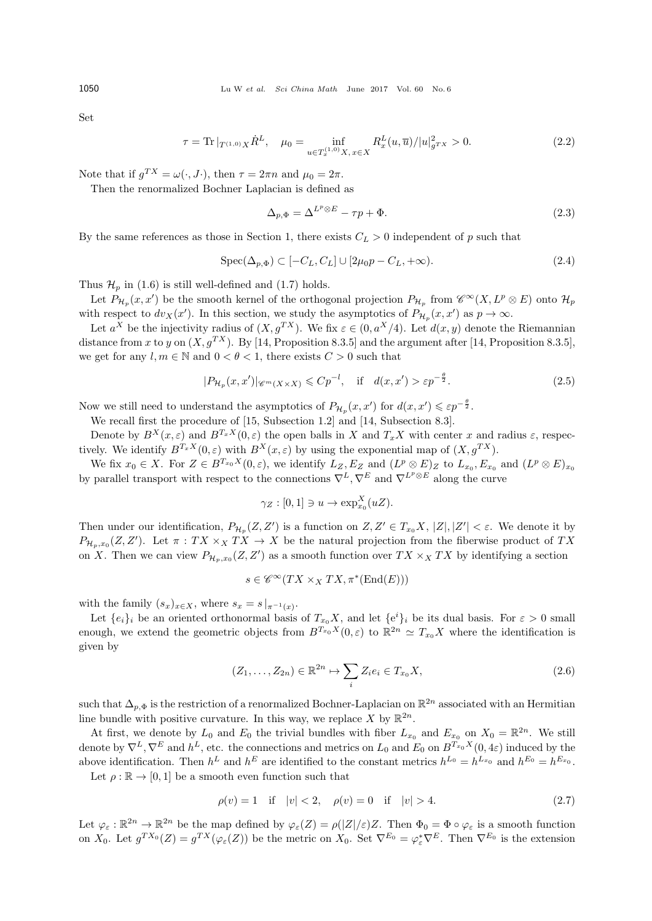Set

$$
\tau = \text{Tr} \, |_{T^{(1,0)}X} \dot{R}^L, \quad \mu_0 = \inf_{u \in T_x^{(1,0)}X, x \in X} R_x^L(u, \overline{u}) / |u|_{g^T X}^2 > 0. \tag{2.2}
$$

Note that if  $g^{TX} = \omega(\cdot, J \cdot)$ , then  $\tau = 2\pi n$  and  $\mu_0 = 2\pi$ .

Then the renormalized Bochner Laplacian is defined as

$$
\Delta_{p,\Phi} = \Delta^{L^p \otimes E} - \tau p + \Phi. \tag{2.3}
$$

By the same references as those in Section 1, there exists  $C_L > 0$  independent of *p* such that

$$
\operatorname{Spec}(\Delta_{p,\Phi}) \subset [-C_L, C_L] \cup [2\mu_0 p - C_L, +\infty). \tag{2.4}
$$

Thus  $\mathcal{H}_p$  in (1.6) is still well-defined and (1.7) holds.

Let  $P_{\mathcal{H}_p}(x, x')$  be the smooth kernel of the orthogonal projection  $P_{\mathcal{H}_p}$  from  $\mathscr{C}^{\infty}(X, L^p \otimes E)$  onto  $\mathcal{H}_p$ with respect to  $dv_X(x')$ . In this section, we study the asymptotics of  $P_{\mathcal{H}_p}(x, x')$  as  $p \to \infty$ .

Let  $a^X$  be the injectivity radius of  $(X, g^{TX})$ . We fix  $\varepsilon \in (0, a^X/4)$ . Let  $d(x, y)$  denote the Riemannian distance from *x* to *y* on  $(X, g^{TX})$ . By [14, Proposition 8.3.5] and the argument after [14, Proposition 8.3.5], we get for any  $l, m \in \mathbb{N}$  and  $0 < \theta < 1$ , there exists  $C > 0$  such that

$$
|P_{\mathcal{H}_p}(x, x')|_{\mathscr{C}^m(X \times X)} \leqslant C p^{-l}, \quad \text{if} \quad d(x, x') > \varepsilon p^{-\frac{\theta}{2}}.
$$

Now we still need to understand the asymptotics of  $P_{\mathcal{H}_p}(x, x')$  for  $d(x, x') \leq \varepsilon p^{-\frac{\theta}{2}}$ .

We recall first the procedure of [15, Subsection 1.2] and [14, Subsection 8.3].

Denote by  $B^{X}(x, \varepsilon)$  and  $B^{T_x X}(0, \varepsilon)$  the open balls in *X* and  $T_x X$  with center *x* and radius  $\varepsilon$ , respectively. We identify  $B^{T_x X}(0, \varepsilon)$  with  $B^{X}(x, \varepsilon)$  by using the exponential map of  $(X, g^{T X})$ .

We fix  $x_0 \in X$ . For  $Z \in B^{T_{x_0}X}(0,\varepsilon)$ , we identify  $L_Z, E_Z$  and  $(L^p \otimes E)_Z$  to  $L_{x_0}, E_{x_0}$  and  $(L^p \otimes E)_{x_0}$ by parallel transport with respect to the connections  $\nabla^L, \nabla^E$  and  $\nabla^{L^p \otimes E}$  along the curve

$$
\gamma_Z : [0,1] \ni u \to \exp_{x_0}^X (uZ).
$$

Then under our identification,  $P_{\mathcal{H}_p}(Z, Z')$  is a function on  $Z, Z' \in T_{x_0}X, |Z|, |Z'| < \varepsilon$ . We denote it by  $P_{\mathcal{H}_p,x_0}(Z,Z')$ . Let  $\pi:TX \times_X TX \to X$  be the natural projection from the fiberwise product of *TX* on *X*. Then we can view  $P_{\mathcal{H}_p,x_0}(Z,Z')$  as a smooth function over  $TX \times_X TX$  by identifying a section

$$
s \in \mathscr{C}^{\infty}(TX \times_X TX, \pi^*(\text{End}(E)))
$$

with the family  $(s_x)_{x \in X}$ , where  $s_x = s|_{\pi^{-1}(x)}$ .

Let  $\{e_i\}_i$  be an oriented orthonormal basis of  $T_{x_0}X$ , and let  $\{e^i\}_i$  be its dual basis. For  $\varepsilon > 0$  small enough, we extend the geometric objects from  $B^{T_{x_0}X}(0,\varepsilon)$  to  $\mathbb{R}^{2n} \simeq T_{x_0}X$  where the identification is given by

$$
(Z_1, \ldots, Z_{2n}) \in \mathbb{R}^{2n} \mapsto \sum_i Z_i e_i \in T_{x_0} X,\tag{2.6}
$$

such that  $\Delta_{p,\Phi}$  is the restriction of a renormalized Bochner-Laplacian on  $\mathbb{R}^{2n}$  associated with an Hermitian line bundle with positive curvature. In this way, we replace  $X$  by  $\mathbb{R}^{2n}$ .

At first, we denote by  $L_0$  and  $E_0$  the trivial bundles with fiber  $L_{x_0}$  and  $E_{x_0}$  on  $X_0 = \mathbb{R}^{2n}$ . We still denote by  $\nabla^L, \nabla^E$  and  $h^L$ , etc. the connections and metrics on  $L_0$  and  $E_0$  on  $B^{T_{x_0}X}(0, 4\varepsilon)$  induced by the above identification. Then  $h^L$  and  $h^E$  are identified to the constant metrics  $h^{L_0} = h^{L_{x_0}}$  and  $h^{E_0} = h^{E_{x_0}}$ .

Let  $\rho : \mathbb{R} \to [0, 1]$  be a smooth even function such that

$$
\rho(v) = 1 \quad \text{if} \quad |v| < 2, \quad \rho(v) = 0 \quad \text{if} \quad |v| > 4. \tag{2.7}
$$

Let  $\varphi_{\varepsilon}: \mathbb{R}^{2n} \to \mathbb{R}^{2n}$  be the map defined by  $\varphi_{\varepsilon}(Z) = \rho(|Z|/\varepsilon)Z$ . Then  $\Phi_0 = \Phi \circ \varphi_{\varepsilon}$  is a smooth function on  $X_0$ . Let  $g^{TX_0}(Z) = g^{TX}(\varphi_\varepsilon(Z))$  be the metric on  $X_0$ . Set  $\nabla^{E_0} = \varphi_\varepsilon^* \nabla^E$ . Then  $\nabla^{E_0}$  is the extension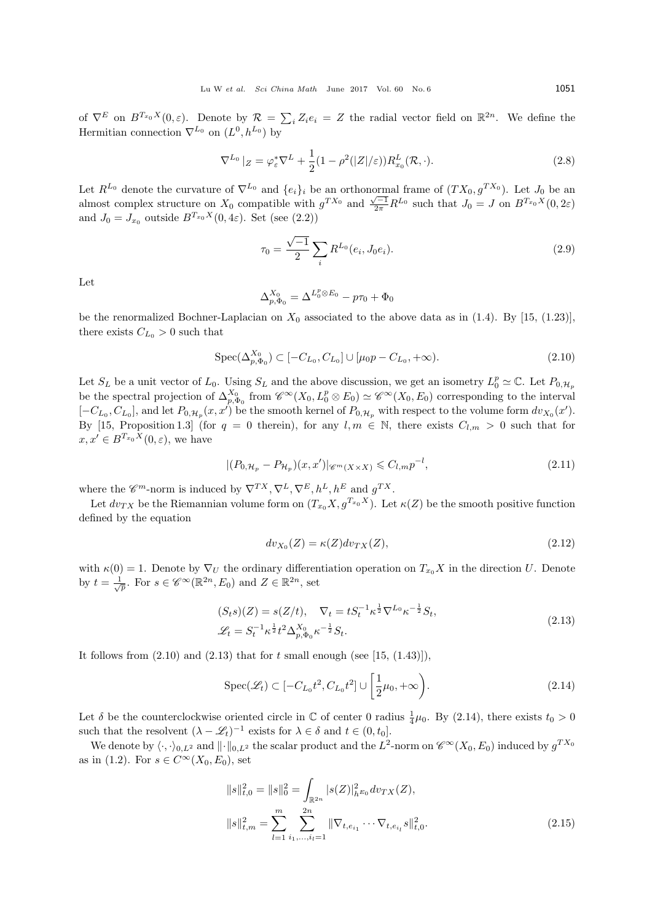of  $\nabla^E$  on  $B^{T_{x_0}X}(0,\varepsilon)$ . Denote by  $\mathcal{R} = \sum_i Z_i e_i = Z$  the radial vector field on  $\mathbb{R}^{2n}$ . We define the Hermitian connection  $\nabla^{L_0}$  on  $(L^0, h^{L_0})$  by

$$
\nabla^{L_0} |Z = \varphi_{\varepsilon}^* \nabla^L + \frac{1}{2} (1 - \rho^2(|Z|/\varepsilon)) R_{x_0}^L(\mathcal{R}, \cdot). \tag{2.8}
$$

Let  $R^{L_0}$  denote the curvature of  $\nabla^{L_0}$  and  $\{e_i\}_i$  be an orthonormal frame of  $(T X_0, g^{T X_0})$ . Let  $J_0$  be an almost complex structure on  $X_0$  compatible with  $g^{T X_0}$  and  $\frac{\sqrt{-1}}{2\pi} R^{L_0}$  such that  $J_0 = J$  on  $B^{T_{x_0} X}(0, 2\varepsilon)$ and  $J_0 = J_{x_0}$  outside  $B^{T_{x_0}X}(0, 4\varepsilon)$ . Set (see (2.2))

$$
\tau_0 = \frac{\sqrt{-1}}{2} \sum_i R^{L_0}(e_i, J_0 e_i). \tag{2.9}
$$

Let

$$
\Delta_{p,\Phi_0}^{X_0} = \Delta^{L_0^p \otimes E_0} - p\tau_0 + \Phi_0
$$

be the renormalized Bochner-Laplacian on  $X_0$  associated to the above data as in (1.4). By [15, (1.23)], there exists  $C_{L_0} > 0$  such that

$$
Spec(\Delta_{p,\Phi_0}^{X_0}) \subset [-C_{L_0}, C_{L_0}] \cup [\mu_0 p - C_{L_0}, +\infty). \tag{2.10}
$$

Let  $S_L$  be a unit vector of  $L_0$ . Using  $S_L$  and the above discussion, we get an isometry  $L_0^p \simeq \mathbb{C}$ . Let  $P_{0,\mathcal{H}_p}$ be the spectral projection of  $\Delta_{p,\Phi_0}^{X_0}$  from  $\mathscr{C}^{\infty}(X_0, L_0^p \otimes E_0) \simeq \mathscr{C}^{\infty}(X_0, E_0)$  corresponding to the interval  $[-C_{L_0}, C_{L_0}]$ , and let  $P_{0,\mathcal{H}_p}(x, x')$  be the smooth kernel of  $P_{0,\mathcal{H}_p}$  with respect to the volume form  $dv_{X_0}(x')$ . By [15, Proposition 1.3] (for  $q = 0$  therein), for any  $l, m \in \mathbb{N}$ , there exists  $C_{l,m} > 0$  such that for  $x, x' \in B^{T_{x_0}X}(0, \varepsilon)$ , we have

$$
|(P_{0,\mathcal{H}_p} - P_{\mathcal{H}_p})(x, x')|_{\mathscr{C}^m(X \times X)} \leqslant C_{l,m} p^{-l},\tag{2.11}
$$

where the  $\mathscr{C}^m$ -norm is induced by  $\nabla^{TX}, \nabla^{L}, \nabla^{E}, h^L, h^E$  and  $g^{TX}$ .

Let  $dv_{TX}$  be the Riemannian volume form on  $(T_{x_0}X, g^{T_{x_0}X})$ . Let  $\kappa(Z)$  be the smooth positive function defined by the equation

$$
dv_{X_0}(Z) = \kappa(Z)dv_{TX}(Z),\tag{2.12}
$$

with  $\kappa(0) = 1$ . Denote by  $\nabla_U$  the ordinary differentiation operation on  $T_{x_0}X$  in the direction *U*. Denote by  $t = \frac{1}{\sqrt{p}}$ . For  $s \in \mathscr{C}^{\infty}(\mathbb{R}^{2n}, E_0)$  and  $Z \in \mathbb{R}^{2n}$ , set

$$
(S_t s)(Z) = s(Z/t), \quad \nabla_t = t S_t^{-1} \kappa^{\frac{1}{2}} \nabla^{L_0} \kappa^{-\frac{1}{2}} S_t,
$$
  

$$
\mathscr{L}_t = S_t^{-1} \kappa^{\frac{1}{2}} t^2 \Delta_{p, \Phi_0}^X \kappa^{-\frac{1}{2}} S_t.
$$
 (2.13)

It follows from  $(2.10)$  and  $(2.13)$  that for  $t$  small enough (see [15,  $(1.43)$ ]),

$$
\operatorname{Spec}(\mathcal{L}_t) \subset [-C_{L_0}t^2, C_{L_0}t^2] \cup \left[\frac{1}{2}\mu_0, +\infty\right). \tag{2.14}
$$

Let  $\delta$  be the counterclockwise oriented circle in  $\mathbb C$  of center 0 radius  $\frac{1}{4}\mu_0$ . By (2.14), there exists  $t_0 > 0$ such that the resolvent  $(\lambda - \mathcal{L}_t)^{-1}$  exists for  $\lambda \in \delta$  and  $t \in (0, t_0]$ .

We denote by  $\langle \cdot, \cdot \rangle_{0,L^2}$  and  $\|\cdot\|_{0,L^2}$  the scalar product and the  $L^2$ -norm on  $\mathscr{C}^{\infty}(X_0, E_0)$  induced by  $g^{TX_0}$ as in (1.2). For  $s \in C^\infty(X_0, E_0)$ , set

$$
||s||_{t,0}^{2} = ||s||_{0}^{2} = \int_{\mathbb{R}^{2n}} |s(Z)|_{h^{E_{0}}}^{2} dv_{TX}(Z),
$$
  

$$
||s||_{t,m}^{2} = \sum_{l=1}^{m} \sum_{i_{1},\dots,i_{l}=1}^{2n} ||\nabla_{t,e_{i_{1}}} \cdots \nabla_{t,e_{i_{l}}} s||_{t,0}^{2}.
$$
 (2.15)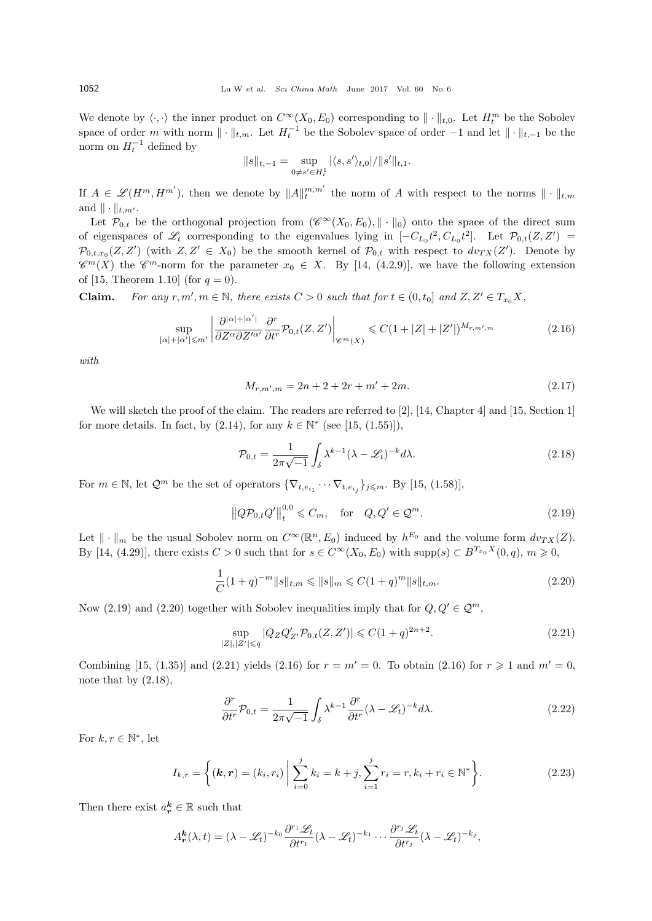We denote by  $\langle \cdot, \cdot \rangle$  the inner product on  $C^{\infty}(X_0, E_0)$  corresponding to  $|| \cdot ||_{t,0}$ . Let  $H_t^m$  be the Sobolev space of order *m* with norm  $\|\cdot\|_{t,m}$ . Let  $H_t^{-1}$  be the Sobolev space of order  $-1$  and let  $\|\cdot\|_{t,-1}$  be the norm on  $H_t^{-1}$  defined by

$$
||s||_{t,-1} = \sup_{0 \neq s' \in H_t^1} |\langle s, s' \rangle_{t,0}| / ||s'||_{t,1}.
$$

If  $A \in \mathscr{L}(H^m, H^{m'})$ , then we denote by  $||A||_t^{m,m'}$  the norm of *A* with respect to the norms  $||\cdot||_{t,m}$ and  $\|\cdot\|_{t,m'}$ .

Let  $\mathcal{P}_{0,t}$  be the orthogonal projection from  $(\mathscr{C}^{\infty}(X_0,E_0), \|\cdot\|_0)$  onto the space of the direct sum of eigenspaces of  $\mathscr{L}_t$  corresponding to the eigenvalues lying in  $[-C_{L_0}t^2, C_{L_0}t^2]$ . Let  $\mathcal{P}_{0,t}(Z, Z')$  $\mathcal{P}_{0,t,x_0}(Z,Z')$  (with  $Z,Z' \in X_0$ ) be the smooth kernel of  $\mathcal{P}_{0,t}$  with respect to  $dv_{TX}(Z')$ . Denote by  $\mathscr{C}^m(X)$  the  $\mathscr{C}^m$ -norm for the parameter  $x_0 \in X$ . By [14, (4.2.9)], we have the following extension of [15, Theorem 1.10] (for  $q = 0$ ).

**Claim.** For any  $r, m', m \in \mathbb{N}$ , there exists  $C > 0$  such that for  $t \in (0, t_0]$  and  $Z, Z' \in T_{x_0}X$ ,

$$
\sup_{|\alpha|+|\alpha'| \le m'} \left| \frac{\partial^{|\alpha|+|\alpha'|}}{\partial Z^{\alpha} \partial Z'^{\alpha'}} \frac{\partial^r}{\partial t^r} \mathcal{P}_{0,t}(Z,Z') \right|_{\mathscr{C}^m(X)} \le C(1+|Z|+|Z'|)^{M_{r,m',m}} \tag{2.16}
$$

*with*

$$
M_{r,m',m} = 2n + 2 + 2r + m' + 2m.
$$
\n(2.17)

We will sketch the proof of the claim. The readers are referred to [2], [14, Chapter 4] and [15, Section 1] for more details. In fact, by  $(2.14)$ , for any  $k \in \mathbb{N}^*$  (see [15,  $(1.55)$ ]),

$$
\mathcal{P}_{0,t} = \frac{1}{2\pi\sqrt{-1}} \int_{\delta} \lambda^{k-1} (\lambda - \mathcal{L}_t)^{-k} d\lambda.
$$
 (2.18)

For  $m \in \mathbb{N}$ , let  $\mathcal{Q}^m$  be the set of operators  $\{\nabla_{t,e_{i_1}} \cdots \nabla_{t,e_{i_j}}\}_{j \leq m}$ . By [15, (1.58)],

$$
\left\|Q\mathcal{P}_{0,t}Q'\right\|_{t}^{0,0} \leq C_m, \quad \text{for} \quad Q,Q' \in \mathcal{Q}^m. \tag{2.19}
$$

Let  $\|\cdot\|_m$  be the usual Sobolev norm on  $C^{\infty}(\mathbb{R}^n, E_0)$  induced by  $h^{E_0}$  and the volume form  $dv_{TX}(Z)$ . By [14, (4.29)], there exists  $C > 0$  such that for  $s \in C^{\infty}(X_0, E_0)$  with supp( $s$ )  $\subset B^{T_{x_0}X}(0, q)$ ,  $m \ge 0$ ,

$$
\frac{1}{C}(1+q)^{-m}||s||_{t,m} \leq ||s||_m \leq C(1+q)^m||s||_{t,m}.
$$
\n(2.20)

Now (2.19) and (2.20) together with Sobolev inequalities imply that for  $Q, Q' \in \mathcal{Q}^m$ ,

$$
\sup_{|Z|,|Z'| \le q} |Q_Z Q'_{Z'} \mathcal{P}_{0,t}(Z,Z')| \le C(1+q)^{2n+2}.\tag{2.21}
$$

Combining [15, (1.35)] and (2.21) yields (2.16) for  $r = m' = 0$ . To obtain (2.16) for  $r \ge 1$  and  $m' = 0$ , note that by  $(2.18)$ ,

$$
\frac{\partial^r}{\partial t^r} \mathcal{P}_{0,t} = \frac{1}{2\pi\sqrt{-1}} \int_{\delta} \lambda^{k-1} \frac{\partial^r}{\partial t^r} (\lambda - \mathcal{L}_t)^{-k} d\lambda. \tag{2.22}
$$

For  $k, r \in \mathbb{N}^*$ , let

$$
I_{k,r} = \left\{ (\mathbf{k}, \mathbf{r}) = (k_i, r_i) \middle| \sum_{i=0}^{j} k_i = k + j, \sum_{i=1}^{j} r_i = r, k_i + r_i \in \mathbb{N}^* \right\}.
$$
 (2.23)

Then there exist  $a_r^k \in \mathbb{R}$  such that

$$
A_{\boldsymbol{r}}^{\boldsymbol{k}}(\lambda,t)=(\lambda-\mathscr{L}_t)^{-k_0}\frac{\partial^{r_1}\mathscr{L}_t}{\partial t^{r_1}}(\lambda-\mathscr{L}_t)^{-k_1}\cdots\frac{\partial^{r_j}\mathscr{L}_t}{\partial t^{r_j}}(\lambda-\mathscr{L}_t)^{-k_j},
$$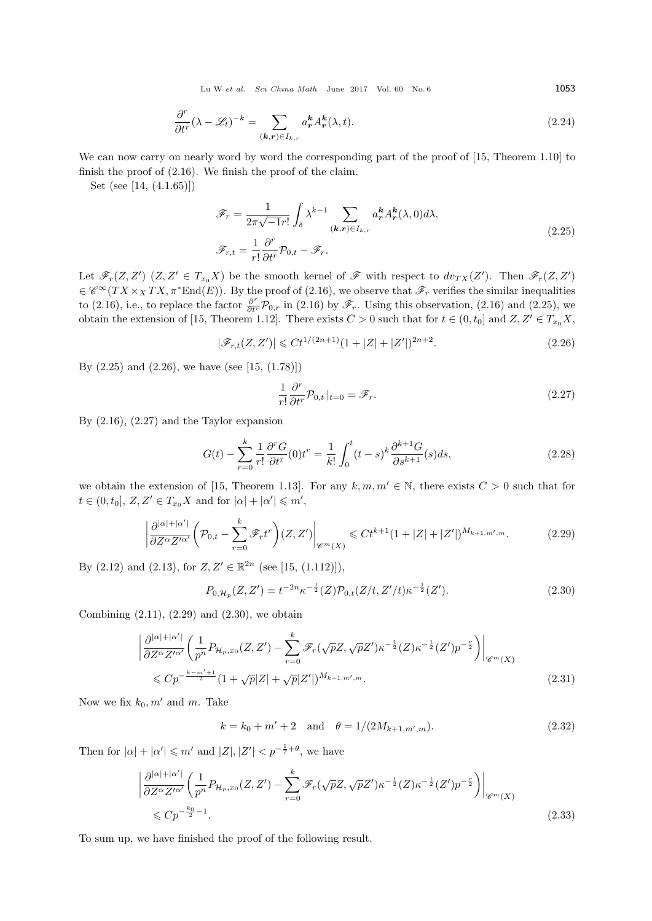Lu W *et al. Sci China Math* June 2017 Vol. 60 No. 6 1053

$$
\frac{\partial^r}{\partial t^r} (\lambda - \mathcal{L}_t)^{-k} = \sum_{(\mathbf{k}, \mathbf{r}) \in I_{k,r}} a^{\mathbf{k}}_{\mathbf{r}} A^{\mathbf{k}}_{\mathbf{r}}(\lambda, t). \tag{2.24}
$$

We can now carry on nearly word by word the corresponding part of the proof of  $[15,$  Theorem 1.10 to finish the proof of (2.16). We finish the proof of the claim.

Set (see [14, (4.1.65)])

$$
\mathscr{F}_r = \frac{1}{2\pi\sqrt{-1}r!} \int_{\delta} \lambda^{k-1} \sum_{(\mathbf{k},\mathbf{r}) \in I_{k,r}} a_{\mathbf{r}}^{\mathbf{k}} A_{\mathbf{r}}^{\mathbf{k}}(\lambda,0) d\lambda,
$$
\n
$$
\mathscr{F}_{r,t} = \frac{1}{r!} \frac{\partial^r}{\partial t^r} \mathcal{P}_{0,t} - \mathscr{F}_r.
$$
\n(2.25)

Let  $\mathscr{F}_r(Z,Z')$   $(Z,Z'\in T_{x_0}X)$  be the smooth kernel of  $\mathscr{F}$  with respect to  $dv_{TX}(Z')$ . Then  $\mathscr{F}_r(Z,Z')$  $\in \mathscr{C}^{\infty}(TX \times_X TX, \pi^* \text{End}(E)).$  By the proof of (2.16), we observe that  $\mathscr{F}_r$  verifies the similar inequalities to (2.16), i.e., to replace the factor  $\frac{\partial^r}{\partial t^r} \mathcal{P}_{0,r}$  in (2.16) by  $\mathscr{F}_r$ . Using this observation, (2.16) and (2.25), we obtain the extension of [15, Theorem 1.12]. There exists  $C > 0$  such that for  $t \in (0, t_0]$  and  $Z, Z' \in T_{x_0}X$ ,

$$
|\mathcal{F}_{r,t}(Z,Z')| \leq C t^{1/(2n+1)} (1+|Z|+|Z'|)^{2n+2}.
$$
\n(2.26)

By  $(2.25)$  and  $(2.26)$ , we have (see [15,  $(1.78)$ ])

$$
\frac{1}{r!} \frac{\partial^r}{\partial t^r} \mathcal{P}_{0,t} |_{t=0} = \mathscr{F}_r.
$$
\n(2.27)

By (2.16), (2.27) and the Taylor expansion

$$
G(t) - \sum_{r=0}^{k} \frac{1}{r!} \frac{\partial^r G}{\partial t^r}(0) t^r = \frac{1}{k!} \int_0^t (t-s)^k \frac{\partial^{k+1} G}{\partial s^{k+1}}(s) ds,
$$
\n(2.28)

we obtain the extension of [15, Theorem 1.13]. For any  $k, m, m' \in \mathbb{N}$ , there exists  $C > 0$  such that for  $t \in (0, t_0], Z, Z' \in T_{x_0}X$  and for  $|\alpha| + |\alpha'| \leq m'$ ,

$$
\left| \frac{\partial^{|\alpha|+|\alpha'|}}{\partial Z^{\alpha} Z'^{\alpha'}} \left( \mathcal{P}_{0,t} - \sum_{r=0}^{k} \mathcal{F}_r t^r \right) (Z, Z') \right|_{\mathscr{C}^m(X)} \leqslant C t^{k+1} (1 + |Z| + |Z'|)^{M_{k+1,m',m}}.
$$
 (2.29)

By  $(2.12)$  and  $(2.13)$ , for  $Z, Z' \in \mathbb{R}^{2n}$  (see [15,  $(1.112)$ ]),

$$
P_{0,\mathcal{H}_p}(Z,Z') = t^{-2n} \kappa^{-\frac{1}{2}}(Z) \mathcal{P}_{0,t}(Z/t, Z'/t) \kappa^{-\frac{1}{2}}(Z'). \tag{2.30}
$$

Combining  $(2.11)$ ,  $(2.29)$  and  $(2.30)$ , we obtain

$$
\left| \frac{\partial^{|\alpha|+|\alpha'|}}{\partial Z^{\alpha} Z'^{\alpha'}} \left( \frac{1}{p^n} P_{\mathcal{H}_p, x_0}(Z, Z') - \sum_{r=0}^k \mathscr{F}_r(\sqrt{p} Z, \sqrt{p} Z') \kappa^{-\frac{1}{2}}(Z) \kappa^{-\frac{1}{2}}(Z') p^{-\frac{r}{2}} \right) \right|_{\mathscr{C}^m(X)} \leq C p^{-\frac{k-m'+1}{2}} (1 + \sqrt{p}|Z| + \sqrt{p}|Z'|)^{M_{k+1, m', m}}.
$$
\n(2.31)

Now we fix  $k_0, m'$  and m. Take

$$
k = k_0 + m' + 2 \quad \text{and} \quad \theta = 1/(2M_{k+1,m',m}).\tag{2.32}
$$

Then for  $|\alpha| + |\alpha'| \leq m'$  and  $|Z|, |Z'| < p^{-\frac{1}{2}+\theta}$ , we have

$$
\left| \frac{\partial^{|\alpha|+|\alpha'|}}{\partial Z^{\alpha} Z'^{\alpha'}} \left( \frac{1}{p^n} P_{\mathcal{H}_p, x_0}(Z, Z') - \sum_{r=0}^k \mathscr{F}_r(\sqrt{p} Z, \sqrt{p} Z') \kappa^{-\frac{1}{2}}(Z) \kappa^{-\frac{1}{2}}(Z') p^{-\frac{r}{2}} \right) \right|_{\mathscr{C}^m(X)} \leq C p^{-\frac{k_0}{2} - 1}.
$$
\n(2.33)

To sum up, we have finished the proof of the following result.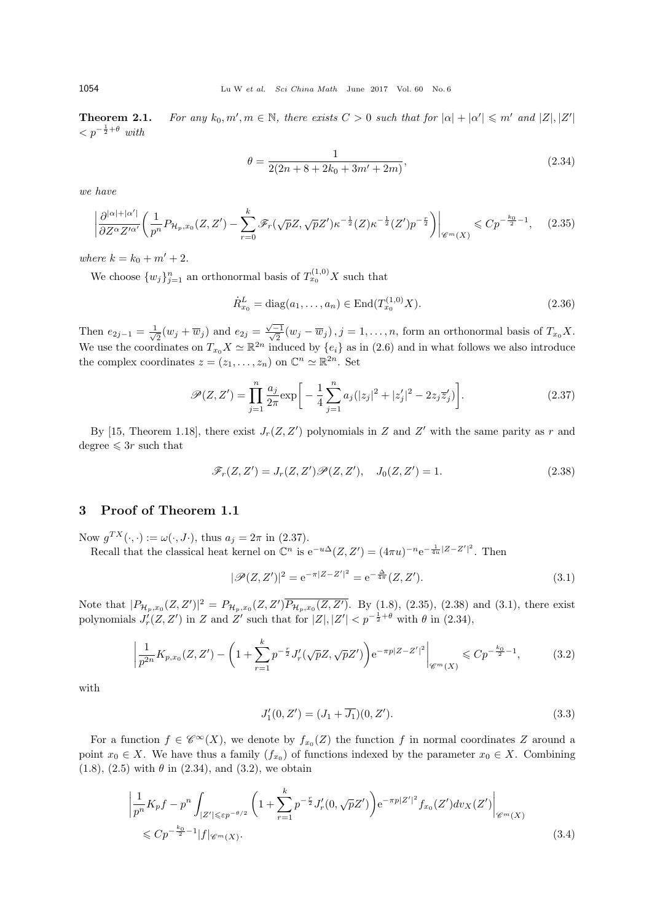**Theorem 2.1.** *For any k*0*, m′*  $, m \in \mathbb{N}$ , there exists  $C > 0$  such that for  $|\alpha| + |\alpha'| \leq m'$  and  $|Z|, |Z'|$  $\langle p^{-\frac{1}{2}+\theta} \text{ with }$ 

$$
\theta = \frac{1}{2(2n + 8 + 2k_0 + 3m' + 2m)},
$$
\n(2.34)

*we have*

$$
\left| \frac{\partial^{|\alpha|+|\alpha'|}}{\partial Z^{\alpha}Z'^{\alpha'}} \left( \frac{1}{p^n} P_{\mathcal{H}_p, x_0}(Z, Z') - \sum_{r=0}^k \mathscr{F}_r(\sqrt{p}Z, \sqrt{p}Z') \kappa^{-\frac{1}{2}}(Z) \kappa^{-\frac{1}{2}}(Z') p^{-\frac{r}{2}} \right) \right|_{\mathscr{C}^m(X)} \leqslant C p^{-\frac{k_0}{2}-1}, \quad (2.35)
$$

*where*  $k = k_0 + m' + 2$ .

We choose  $\{w_j\}_{j=1}^n$  an orthonormal basis of  $T_{x_0}^{(1,0)}X$  such that

$$
\dot{R}_{x_0}^L = \text{diag}(a_1, \dots, a_n) \in \text{End}(T_{x_0}^{(1,0)}X). \tag{2.36}
$$

Then  $e_{2j-1} = \frac{1}{\sqrt{2}}$  $\frac{1}{2}(w_j + \overline{w}_j)$  and  $e_{2j} = \frac{\sqrt{-1}}{\sqrt{2}}(w_j - \overline{w}_j)$ ,  $j = 1, \ldots, n$ , form an orthonormal basis of  $T_{x_0}X$ . We use the coordinates on  $T_{x_0}X \simeq \mathbb{R}^{2n}$  induced by  $\{e_i\}$  as in (2.6) and in what follows we also introduce the complex coordinates  $z = (z_1, \ldots, z_n)$  on  $\mathbb{C}^n \simeq \mathbb{R}^{2n}$ . Set

$$
\mathcal{P}(Z, Z') = \prod_{j=1}^{n} \frac{a_j}{2\pi} \exp\bigg[ -\frac{1}{4} \sum_{j=1}^{n} a_j (|z_j|^2 + |z'_j|^2 - 2z_j \overline{z}'_j) \bigg]. \tag{2.37}
$$

By [15, Theorem 1.18], there exist  $J_r(Z, Z')$  polynomials in  $Z$  and  $Z'$  with the same parity as  $r$  and degree  $\leqslant 3r$  such that

$$
\mathscr{F}_r(Z, Z') = J_r(Z, Z') \mathscr{P}(Z, Z'), \quad J_0(Z, Z') = 1.
$$
\n
$$
(2.38)
$$

## **3 Proof of Theorem 1.1**

Now  $g^{TX}(\cdot, \cdot) := \omega(\cdot, J \cdot)$ , thus  $a_j = 2\pi$  in (2.37).

Recall that the classical heat kernel on  $\mathbb{C}^n$  is  $e^{-u\Delta}(Z, Z') = (4\pi u)^{-n} e^{-\frac{1}{4u}|Z - Z'|^2}$ . Then

$$
|\mathcal{P}(Z,Z')|^2 = e^{-\pi |Z - Z'|^2} = e^{-\frac{\Delta}{4\pi}}(Z,Z').
$$
\n(3.1)

Note that  $|P_{\mathcal{H}_p,x_0}(Z,Z')|^2 = P_{\mathcal{H}_p,x_0}(Z,Z')\overline{P_{\mathcal{H}_p,x_0}(Z,Z')}$ . By (1.8), (2.35), (2.38) and (3.1), there exist polynomials  $J'_r(Z, Z')$  in Z and  $Z'$  such that for  $|Z|, |Z'| < p^{-\frac{1}{2}+\theta}$  with  $\theta$  in (2.34),

$$
\left| \frac{1}{p^{2n}} K_{p,x_0}(Z, Z') - \left( 1 + \sum_{r=1}^k p^{-\frac{r}{2}} J'_r(\sqrt{p} Z, \sqrt{p} Z') \right) e^{-\pi p |Z - Z'|^2} \right|_{\mathscr{C}^m(X)} \leqslant C p^{-\frac{k_0}{2} - 1},\tag{3.2}
$$

with

$$
J_1'(0, Z') = (J_1 + \overline{J_1})(0, Z').
$$
\n(3.3)

For a function  $f \in \mathscr{C}^{\infty}(X)$ , we denote by  $f_{x_0}(Z)$  the function  $f$  in normal coordinates  $Z$  around a point  $x_0 \in X$ . We have thus a family  $(f_{x_0})$  of functions indexed by the parameter  $x_0 \in X$ . Combining  $(1.8), (2.5)$  with  $\theta$  in  $(2.34),$  and  $(3.2),$  we obtain

$$
\left| \frac{1}{p^n} K_p f - p^n \int_{|Z'| \leqslant \varepsilon p^{-\theta/2}} \left( 1 + \sum_{r=1}^k p^{-\frac{r}{2}} J'_r(0, \sqrt{p} Z') \right) e^{-\pi p |Z'|^2} f_{x_0}(Z') dv_X(Z') \right|_{\mathscr{C}^m(X)} \n\leqslant C p^{-\frac{k_0}{2} - 1} |f| \mathscr{C}^m(X).
$$
\n(3.4)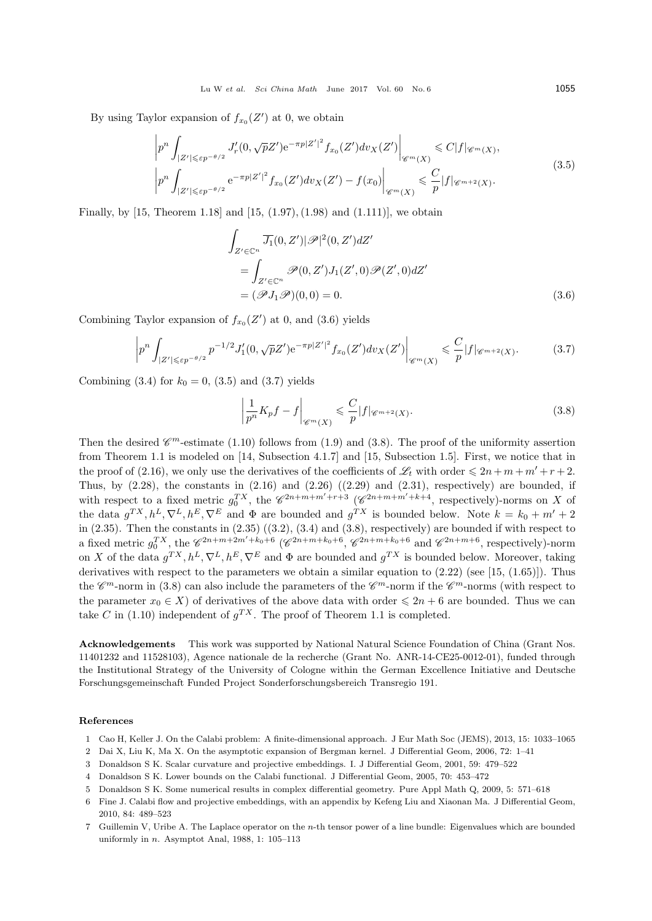By using Taylor expansion of  $f_{x_0}(Z')$  at 0, we obtain

$$
\left| p^{n} \int_{|Z'| \leqslant \varepsilon p^{-\theta/2}} J'_{r}(0, \sqrt{p}Z') e^{-\pi p |Z'|^{2}} f_{x_{0}}(Z') dv_{X}(Z') \right|_{\mathscr{C}^{m}(X)} \leqslant C|f|_{\mathscr{C}^{m}(X)},
$$
\n
$$
\left| p^{n} \int_{|Z'| \leqslant \varepsilon p^{-\theta/2}} e^{-\pi p |Z'|^{2}} f_{x_{0}}(Z') dv_{X}(Z') - f(x_{0}) \right|_{\mathscr{C}^{m}(X)} \leqslant \frac{C}{p} |f|_{\mathscr{C}^{m+2}(X)}.
$$
\n(3.5)

Finally, by [15, Theorem 1.18] and [15, (1.97), (1.98) and (1.111)], we obtain

$$
\int_{Z' \in \mathbb{C}^n} \overline{J_1}(0, Z') |\mathscr{P}|^2(0, Z') dZ'
$$
\n
$$
= \int_{Z' \in \mathbb{C}^n} \mathscr{P}(0, Z') J_1(Z', 0) \mathscr{P}(Z', 0) dZ'
$$
\n
$$
= (\mathscr{P} J_1 \mathscr{P})(0, 0) = 0.
$$
\n(3.6)

Combining Taylor expansion of  $f_{x_0}(Z')$  at 0, and (3.6) yields

$$
\left| p^{n} \int_{|Z'| \leqslant \varepsilon p^{-\theta/2}} p^{-1/2} J'_{1}(0, \sqrt{p}Z') e^{-\pi p |Z'|^{2}} f_{x_{0}}(Z') dv_{X}(Z') \right|_{\mathscr{C}^{m}(X)} \leqslant \frac{C}{p} |f|_{\mathscr{C}^{m+2}(X)}.
$$
 (3.7)

Combining (3.4) for  $k_0 = 0$ , (3.5) and (3.7) yields

$$
\left|\frac{1}{p^n}K_p f - f\right|_{\mathscr{C}^m(X)} \leqslant \frac{C}{p}|f|_{\mathscr{C}^{m+2}(X)}.\tag{3.8}
$$

Then the desired  $\mathscr{C}^m$ -estimate (1.10) follows from (1.9) and (3.8). The proof of the uniformity assertion from Theorem 1.1 is modeled on [14, Subsection 4.1.7] and [15, Subsection 1.5]. First, we notice that in the proof of (2.16), we only use the derivatives of the coefficients of  $\mathscr{L}_t$  with order  $\leq 2n + m + m' + r + 2$ . Thus, by  $(2.28)$ , the constants in  $(2.16)$  and  $(2.26)$   $((2.29)$  and  $(2.31)$ , respectively) are bounded, if with respect to a fixed metric  $g_0^{TX}$ , the  $\mathscr{C}^{2n+m+m'+r+3}$  ( $\mathscr{C}^{2n+m+m'+k+4}$ , respectively)-norms on *X* of the data  $g^{TX}, h^L, \nabla^L, h^E, \nabla^E$  and  $\Phi$  are bounded and  $g^{TX}$  is bounded below. Note  $k = k_0 + m' + 2$ in  $(2.35)$ . Then the constants in  $(2.35)$   $((3.2), (3.4)$  and  $(3.8)$ , respectively) are bounded if with respect to a fixed metric  $g_0^{TX}$ , the  $\mathscr{C}^{2n+m+2m'+k_0+6}$  ( $\mathscr{C}^{2n+m+k_0+6}$ ,  $\mathscr{C}^{2n+m+k_0+6}$  and  $\mathscr{C}^{2n+m+6}$ , respectively)-norm on *X* of the data  $g^{TX}, h^L, \nabla^L, h^E, \nabla^E$  and  $\Phi$  are bounded and  $g^{TX}$  is bounded below. Moreover, taking derivatives with respect to the parameters we obtain a similar equation to  $(2.22)$  (see [15, (1.65)]). Thus the  $\mathscr{C}^m$ -norm in (3.8) can also include the parameters of the  $\mathscr{C}^m$ -norm if the  $\mathscr{C}^m$ -norms (with respect to the parameter  $x_0 \in X$  of derivatives of the above data with order  $\leq 2n + 6$  are bounded. Thus we can take *C* in (1.10) independent of  $g^{TX}$ . The proof of Theorem 1.1 is completed.

**Acknowledgements** This work was supported by National Natural Science Foundation of China (Grant Nos. 11401232 and 11528103), Agence nationale de la recherche (Grant No. ANR-14-CE25-0012-01), funded through the Institutional Strategy of the University of Cologne within the German Excellence Initiative and Deutsche Forschungsgemeinschaft Funded Project Sonderforschungsbereich Transregio 191.

#### **References**

- 1 Cao H, Keller J. On the Calabi problem: A finite-dimensional approach. J Eur Math Soc (JEMS), 2013, 15: 1033–1065
- 2 Dai X, Liu K, Ma X. On the asymptotic expansion of Bergman kernel. J Differential Geom, 2006, 72: 1–41
- 3 Donaldson S K. Scalar curvature and projective embeddings. I. J Differential Geom, 2001, 59: 479–522
- 4 Donaldson S K. Lower bounds on the Calabi functional. J Differential Geom, 2005, 70: 453–472
- 5 Donaldson S K. Some numerical results in complex differential geometry. Pure Appl Math Q, 2009, 5: 571–618
- 6 Fine J. Calabi flow and projective embeddings, with an appendix by Kefeng Liu and Xiaonan Ma. J Differential Geom, 2010, 84: 489–523
- 7 Guillemin V, Uribe A. The Laplace operator on the *n*-th tensor power of a line bundle: Eigenvalues which are bounded uniformly in *n*. Asymptot Anal, 1988, 1: 105–113